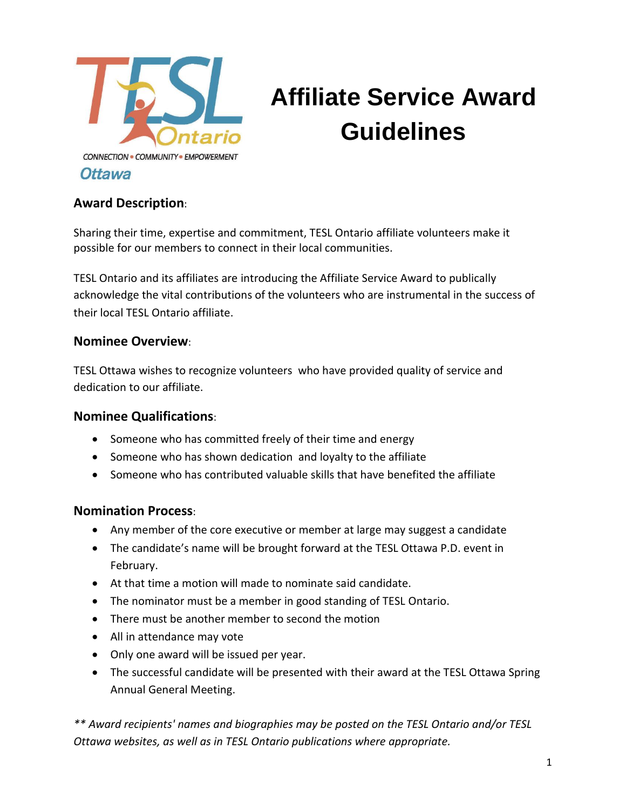

# **Affiliate Service Award Guidelines**

### **Award Description**:

Sharing their time, expertise and commitment, TESL Ontario affiliate volunteers make it possible for our members to connect in their local communities.

TESL Ontario and its affiliates are introducing the Affiliate Service Award to publically acknowledge the vital contributions of the volunteers who are instrumental in the success of their local TESL Ontario affiliate.

#### **Nominee Overview**:

TESL Ottawa wishes to recognize volunteers who have provided quality of service and dedication to our affiliate.

#### **Nominee Qualifications**:

- Someone who has committed freely of their time and energy
- Someone who has shown dedication and loyalty to the affiliate
- Someone who has contributed valuable skills that have benefited the affiliate

#### **Nomination Process**:

- Any member of the core executive or member at large may suggest a candidate
- The candidate's name will be brought forward at the TESL Ottawa P.D. event in February.
- At that time a motion will made to nominate said candidate.
- The nominator must be a member in good standing of TESL Ontario.
- There must be another member to second the motion
- All in attendance may vote
- Only one award will be issued per year.
- The successful candidate will be presented with their award at the TESL Ottawa Spring Annual General Meeting.

*\*\* Award recipients' names and biographies may be posted on the TESL Ontario and/or TESL Ottawa websites, as well as in TESL Ontario publications where appropriate.*